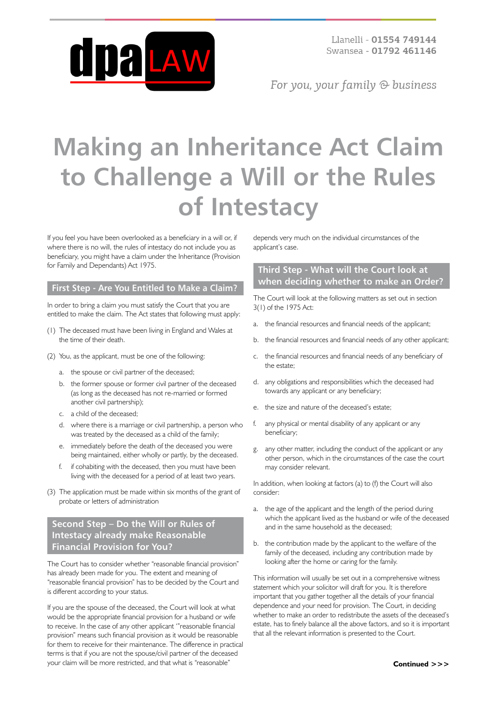

For you, your family  $\odot$  business

# **Making an Inheritance Act Claim to Challenge a Will or the Rules of Intestacy**

If you feel you have been overlooked as a beneficiary in a will or, if where there is no will, the rules of intestacy do not include you as beneficiary, you might have a claim under the Inheritance (Provision for Family and Dependants) Act 1975.

#### **First Step - Are You Entitled to Make a Claim?**

In order to bring a claim you must satisfy the Court that you are entitled to make the claim. The Act states that following must apply:

- (1) The deceased must have been living in England and Wales at the time of their death.
- (2) You, as the applicant, must be one of the following:
	- a. the spouse or civil partner of the deceased;
	- b. the former spouse or former civil partner of the deceased (as long as the deceased has not re-married or formed another civil partnership);
	- c. a child of the deceased;
	- d. where there is a marriage or civil partnership, a person who was treated by the deceased as a child of the family;
	- e. immediately before the death of the deceased you were being maintained, either wholly or partly, by the deceased.
	- f. if cohabiting with the deceased, then you must have been living with the deceased for a period of at least two years.
- (3) The application must be made within six months of the grant of probate or letters of administration

## **Second Step – Do the Will or Rules of Intestacy already make Reasonable Financial Provision for You?**

The Court has to consider whether "reasonable financial provision" has already been made for you. The extent and meaning of "reasonable financial provision" has to be decided by the Court and is different according to your status.

If you are the spouse of the deceased, the Court will look at what would be the appropriate financial provision for a husband or wife to receive. In the case of any other applicant '"reasonable financial provision" means such financial provision as it would be reasonable for them to receive for their maintenance. The difference in practical terms is that if you are not the spouse/civil partner of the deceased your claim will be more restricted, and that what is "reasonable"

depends very much on the individual circumstances of the applicant's case.

## **Third Step - What will the Court look at when deciding whether to make an Order?**

The Court will look at the following matters as set out in section 3(1) of the 1975 Act:

- a. the financial resources and financial needs of the applicant;
- b. the financial resources and financial needs of any other applicant;
- c. the financial resources and financial needs of any beneficiary of the estate;
- d. any obligations and responsibilities which the deceased had towards any applicant or any beneficiary;
- e. the size and nature of the deceased's estate;
- f. any physical or mental disability of any applicant or any beneficiary;
- g. any other matter, including the conduct of the applicant or any other person, which in the circumstances of the case the court may consider relevant.

In addition, when looking at factors (a) to (f) the Court will also consider:

- a. the age of the applicant and the length of the period during which the applicant lived as the husband or wife of the deceased and in the same household as the deceased;
- b. the contribution made by the applicant to the welfare of the family of the deceased, including any contribution made by looking after the home or caring for the family.

This information will usually be set out in a comprehensive witness statement which your solicitor will draft for you. It is therefore important that you gather together all the details of your financial dependence and your need for provision. The Court, in deciding whether to make an order to redistribute the assets of the deceased's estate, has to finely balance all the above factors, and so it is important that all the relevant information is presented to the Court.